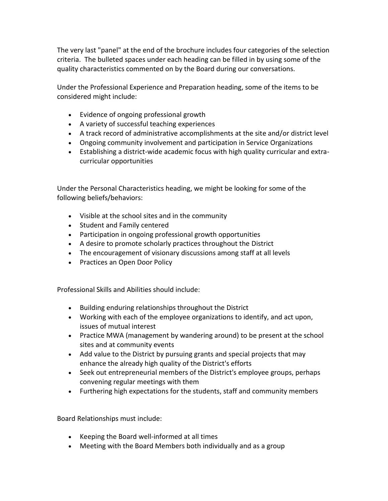The very last "panel" at the end of the brochure includes four categories of the selection criteria. The bulleted spaces under each heading can be filled in by using some of the quality characteristics commented on by the Board during our conversations.

Under the Professional Experience and Preparation heading, some of the items to be considered might include:

- Evidence of ongoing professional growth
- A variety of successful teaching experiences
- A track record of administrative accomplishments at the site and/or district level
- Ongoing community involvement and participation in Service Organizations
- Establishing a district-wide academic focus with high quality curricular and extracurricular opportunities

Under the Personal Characteristics heading, we might be looking for some of the following beliefs/behaviors:

- Visible at the school sites and in the community
- Student and Family centered
- Participation in ongoing professional growth opportunities
- A desire to promote scholarly practices throughout the District
- The encouragement of visionary discussions among staff at all levels
- Practices an Open Door Policy

Professional Skills and Abilities should include:

- Building enduring relationships throughout the District
- Working with each of the employee organizations to identify, and act upon, issues of mutual interest
- Practice MWA (management by wandering around) to be present at the school sites and at community events
- Add value to the District by pursuing grants and special projects that may enhance the already high quality of the District's efforts
- Seek out entrepreneurial members of the District's employee groups, perhaps convening regular meetings with them
- Furthering high expectations for the students, staff and community members

Board Relationships must include:

- Keeping the Board well-informed at all times
- Meeting with the Board Members both individually and as a group